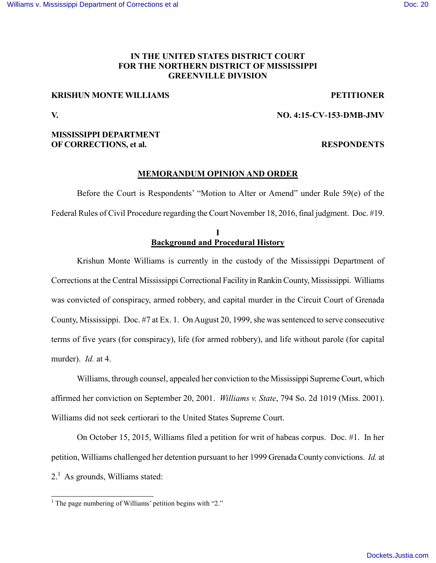## **IN THE UNITED STATES DISTRICT COURT FOR THE NORTHERN DISTRICT OF MISSISSIPPI GREENVILLE DIVISION**

### **KRISHUN MONTE WILLIAMS PETITIONER**

### **V. NO. 4:15-CV-153-DMB-JMV**

## **MISSISSIPPI DEPARTMENT OF CORRECTIONS, et al. RESPONDENTS**

### **MEMORANDUM OPINION AND ORDER**

Before the Court is Respondents' "Motion to Alter or Amend" under Rule 59(e) of the Federal Rules of Civil Procedure regarding the Court November 18, 2016, final judgment. Doc. #19.

# **I Background and Procedural History**

Krishun Monte Williams is currently in the custody of the Mississippi Department of Corrections at the Central Mississippi Correctional Facility in Rankin County, Mississippi. Williams was convicted of conspiracy, armed robbery, and capital murder in the Circuit Court of Grenada County, Mississippi. Doc. #7 at Ex. 1. On August 20, 1999, she was sentenced to serve consecutive terms of five years (for conspiracy), life (for armed robbery), and life without parole (for capital murder). *Id.* at 4.

Williams, through counsel, appealed her conviction to the Mississippi Supreme Court, which affirmed her conviction on September 20, 2001. *Williams v. State*, 794 So. 2d 1019 (Miss. 2001). Williams did not seek certiorari to the United States Supreme Court.

On October 15, 2015, Williams filed a petition for writ of habeas corpus. Doc. #1. In her petition, Williams challenged her detention pursuant to her 1999 Grenada County convictions. *Id.* at  $2<sup>1</sup>$  As grounds, Williams stated:

<sup>&</sup>lt;sup>1</sup> The page numbering of Williams' petition begins with "2."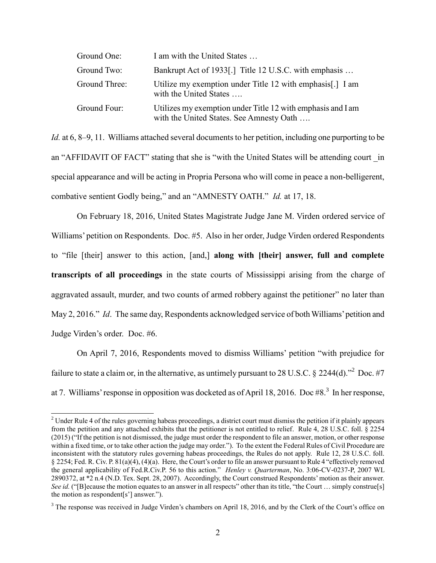| Ground One:   | I am with the United States                                                                             |
|---------------|---------------------------------------------------------------------------------------------------------|
| Ground Two:   | Bankrupt Act of 1933[.] Title 12 U.S.C. with emphasis                                                   |
| Ground Three: | Utilize my exemption under Title 12 with emphasis. I I am<br>with the United States                     |
| Ground Four:  | Utilizes my exemption under Title 12 with emphasis and I am<br>with the United States. See Amnesty Oath |

*Id.* at 6, 8–9, 11. Williams attached several documents to her petition, including one purporting to be an "AFFIDAVIT OF FACT" stating that she is "with the United States will be attending court in special appearance and will be acting in Propria Persona who will come in peace a non-belligerent, combative sentient Godly being," and an "AMNESTY OATH." *Id.* at 17, 18.

On February 18, 2016, United States Magistrate Judge Jane M. Virden ordered service of Williams' petition on Respondents. Doc. #5. Also in her order, Judge Virden ordered Respondents to "file [their] answer to this action, [and,] **along with [their] answer, full and complete transcripts of all proceedings** in the state courts of Mississippi arising from the charge of aggravated assault, murder, and two counts of armed robbery against the petitioner" no later than May 2, 2016." *Id*. The same day, Respondents acknowledged service of both Williams' petition and Judge Virden's order. Doc. #6.

On April 7, 2016, Respondents moved to dismiss Williams' petition "with prejudice for failure to state a claim or, in the alternative, as untimely pursuant to 28 U.S.C. § 2244(d).<sup>72</sup> Doc. #7 at 7. Williams' response in opposition was docketed as of April 18, 2016. Doc #8.<sup>3</sup> In her response,

<sup>&</sup>lt;sup>2</sup> Under Rule 4 of the rules governing habeas proceedings, a district court must dismiss the petition if it plainly appears from the petition and any attached exhibits that the petitioner is not entitled to relief. Rule 4, 28 U.S.C. foll. § 2254 (2015) ("If the petition is not dismissed, the judge must order the respondent to file an answer, motion, or other response within a fixed time, or to take other action the judge may order."). To the extent the Federal Rules of Civil Procedure are inconsistent with the statutory rules governing habeas proceedings, the Rules do not apply. Rule 12, 28 U.S.C. foll. § 2254; Fed. R. Civ. P. 81(a)(4), (4)(a). Here, the Court's order to file an answer pursuant to Rule 4 "effectively removed the general applicability of Fed.R.Civ.P. 56 to this action." *Henley v. Quarterman*, No. 3:06-CV-0237-P, 2007 WL 2890372, at \*2 n.4 (N.D. Tex. Sept. 28, 2007). Accordingly, the Court construed Respondents' motion as their answer. *See id.* ("[B]ecause the motion equates to an answer in all respects" other than its title, "the Court ... simply construe[s] the motion as respondent[s'] answer.").

 $3$  The response was received in Judge Virden's chambers on April 18, 2016, and by the Clerk of the Court's office on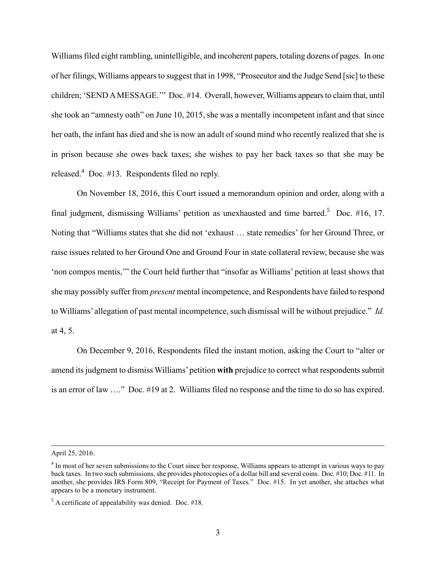Williams filed eight rambling, unintelligible, and incoherent papers, totaling dozens of pages. In one of her filings, Williams appears to suggest that in 1998, "Prosecutor and the Judge Send [sic] to these children; 'SEND A MESSAGE.'" Doc. #14. Overall, however, Williams appears to claim that, until she took an "amnesty oath" on June 10, 2015, she was a mentally incompetent infant and that since her oath, the infant has died and she is now an adult of sound mind who recently realized that she is in prison because she owes back taxes; she wishes to pay her back taxes so that she may be released.<sup>4</sup> Doc. #13. Respondents filed no reply.

On November 18, 2016, this Court issued a memorandum opinion and order, along with a final judgment, dismissing Williams' petition as unexhausted and time barred.<sup>5</sup> Doc.  $#16$ , 17. Noting that "Williams states that she did not 'exhaust … state remedies' for her Ground Three, or raise issues related to her Ground One and Ground Four in state collateral review, because she was 'non compos mentis,'" the Court held further that "insofar as Williams' petition at least shows that she may possibly suffer from *present* mental incompetence, and Respondents have failed to respond to Williams' allegation of past mental incompetence, such dismissal will be without prejudice." *Id.* at 4, 5.

On December 9, 2016, Respondents filed the instant motion, asking the Court to "alter or amend its judgment to dismiss Williams' petition **with** prejudice to correct what respondents submit is an error of law …." Doc. #19 at 2. Williams filed no response and the time to do so has expired.

April 25, 2016.

 $\overline{\phantom{a}}$ 

<sup>&</sup>lt;sup>4</sup> In most of her seven submissions to the Court since her response, Williams appears to attempt in various ways to pay back taxes. In two such submissions, she provides photocopies of a dollar bill and several coins. Doc. #10; Doc. #11. In another, she provides IRS Form 809, "Receipt for Payment of Taxes." Doc. #15. In yet another, she attaches what appears to be a monetary instrument.

 $<sup>5</sup>$  A certificate of appealability was denied. Doc. #18.</sup>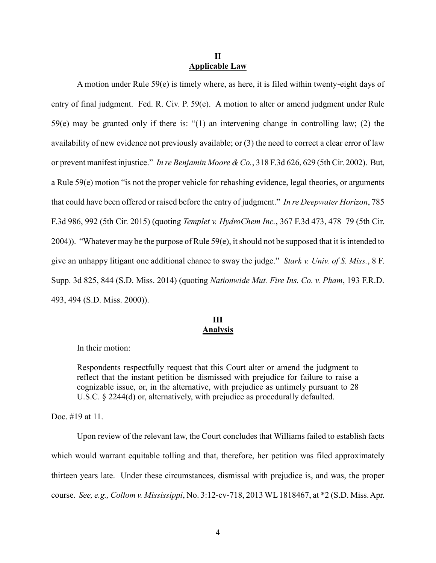### **II Applicable Law**

A motion under Rule 59(e) is timely where, as here, it is filed within twenty-eight days of entry of final judgment. Fed. R. Civ. P. 59(e). A motion to alter or amend judgment under Rule 59(e) may be granted only if there is: "(1) an intervening change in controlling law; (2) the availability of new evidence not previously available; or (3) the need to correct a clear error of law or prevent manifest injustice." *In re Benjamin Moore & Co.*, 318 F.3d 626, 629 (5th Cir. 2002). But, a Rule 59(e) motion "is not the proper vehicle for rehashing evidence, legal theories, or arguments that could have been offered or raised before the entry of judgment." *In re Deepwater Horizon*, 785 F.3d 986, 992 (5th Cir. 2015) (quoting *Templet v. HydroChem Inc.*, 367 F.3d 473, 478–79 (5th Cir. 2004)). "Whatever may be the purpose of Rule 59(e), it should not be supposed that it is intended to give an unhappy litigant one additional chance to sway the judge." *Stark v. Univ. of S. Miss.*, 8 F. Supp. 3d 825, 844 (S.D. Miss. 2014) (quoting *Nationwide Mut. Fire Ins. Co. v. Pham*, 193 F.R.D. 493, 494 (S.D. Miss. 2000)).

# **III Analysis**

In their motion:

Respondents respectfully request that this Court alter or amend the judgment to reflect that the instant petition be dismissed with prejudice for failure to raise a cognizable issue, or, in the alternative, with prejudice as untimely pursuant to 28 U.S.C. § 2244(d) or, alternatively, with prejudice as procedurally defaulted.

Doc. #19 at 11.

Upon review of the relevant law, the Court concludes that Williams failed to establish facts which would warrant equitable tolling and that, therefore, her petition was filed approximately thirteen years late. Under these circumstances, dismissal with prejudice is, and was, the proper course. *See, e.g., Collom v. Mississippi*, No. 3:12-cv-718, 2013 WL 1818467, at \*2 (S.D. Miss. Apr.